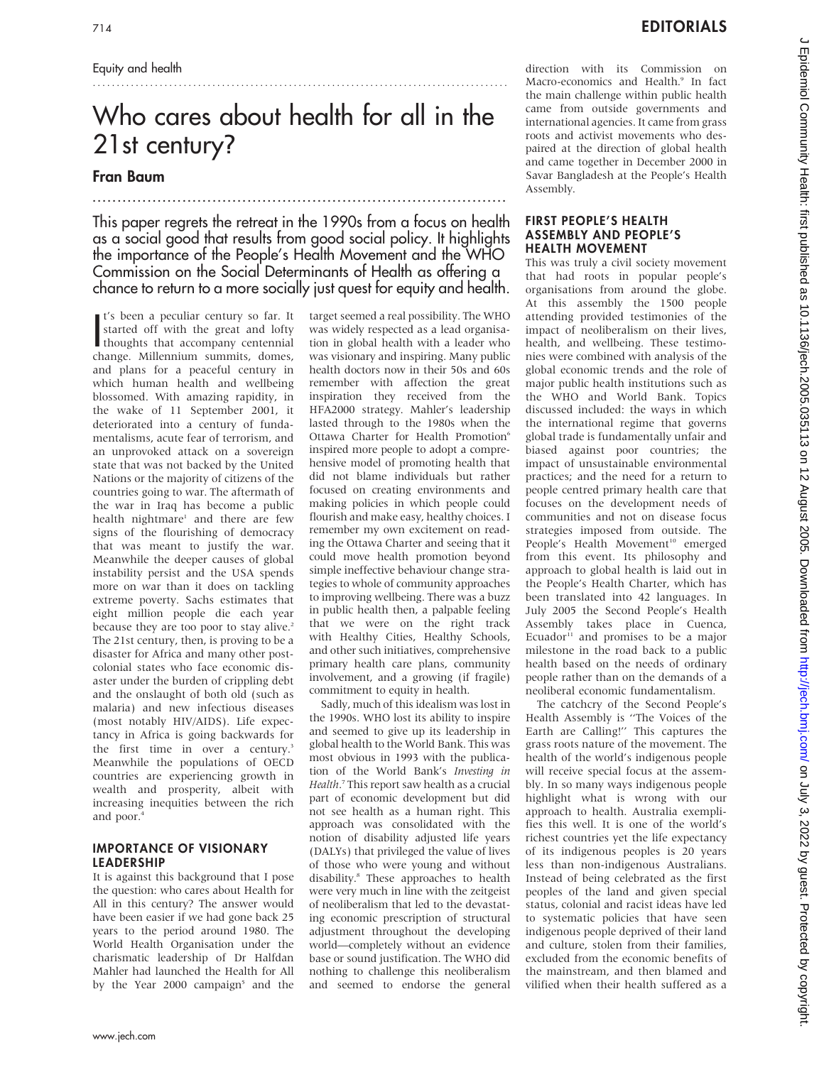Equity and health

# Who cares about health for all in the 21st century?

.......................................................................................

## Fran Baum

This paper regrets the retreat in the 1990s from a focus on health as a social good that results from good social policy. It highlights the importance of the People's Health Movement and the WHO Commission on the Social Determinants of Health as offering a chance to return to a more socially just quest for equity and health.

...................................................................................

I's been a pecular century so far. It<br>started off with the great and lofty<br>thoughts that accompany centennial<br>change Millennium cummite domes t's been a peculiar century so far. It started off with the great and lofty change. Millennium summits, domes, and plans for a peaceful century in which human health and wellbeing blossomed. With amazing rapidity, in the wake of 11 September 2001, it deteriorated into a century of fundamentalisms, acute fear of terrorism, and an unprovoked attack on a sovereign state that was not backed by the United Nations or the majority of citizens of the countries going to war. The aftermath of the war in Iraq has become a public health nightmare<sup>1</sup> and there are few signs of the flourishing of democracy that was meant to justify the war. Meanwhile the deeper causes of global instability persist and the USA spends more on war than it does on tackling extreme poverty. Sachs estimates that eight million people die each year because they are too poor to stay alive.<sup>2</sup> The 21st century, then, is proving to be a disaster for Africa and many other postcolonial states who face economic disaster under the burden of crippling debt and the onslaught of both old (such as malaria) and new infectious diseases (most notably HIV/AIDS). Life expectancy in Africa is going backwards for the first time in over a century.<sup>3</sup> Meanwhile the populations of OECD countries are experiencing growth in wealth and prosperity, albeit with increasing inequities between the rich and poor.<sup>4</sup>

### IMPORTANCE OF VISIONARY LEADERSHIP

It is against this background that I pose the question: who cares about Health for All in this century? The answer would have been easier if we had gone back 25 years to the period around 1980. The World Health Organisation under the charismatic leadership of Dr Halfdan Mahler had launched the Health for All by the Year 2000 campaign<sup>5</sup> and the target seemed a real possibility. The WHO was widely respected as a lead organisation in global health with a leader who was visionary and inspiring. Many public health doctors now in their 50s and 60s remember with affection the great inspiration they received from the HFA2000 strategy. Mahler's leadership lasted through to the 1980s when the Ottawa Charter for Health Promotion<sup>6</sup> inspired more people to adopt a comprehensive model of promoting health that did not blame individuals but rather focused on creating environments and making policies in which people could flourish and make easy, healthy choices. I remember my own excitement on reading the Ottawa Charter and seeing that it could move health promotion beyond simple ineffective behaviour change strategies to whole of community approaches to improving wellbeing. There was a buzz in public health then, a palpable feeling that we were on the right track with Healthy Cities, Healthy Schools, and other such initiatives, comprehensive primary health care plans, community involvement, and a growing (if fragile) commitment to equity in health.

Sadly, much of this idealism was lost in the 1990s. WHO lost its ability to inspire and seemed to give up its leadership in global health to the World Bank. This was most obvious in 1993 with the publication of the World Bank's Investing in Health.<sup>7</sup> This report saw health as a crucial part of economic development but did not see health as a human right. This approach was consolidated with the notion of disability adjusted life years (DALYs) that privileged the value of lives of those who were young and without disability.8 These approaches to health were very much in line with the zeitgeist of neoliberalism that led to the devastating economic prescription of structural adjustment throughout the developing world—completely without an evidence base or sound justification. The WHO did nothing to challenge this neoliberalism and seemed to endorse the general

direction with its Commission on Macro-economics and Health.<sup>9</sup> In fact the main challenge within public health came from outside governments and international agencies. It came from grass roots and activist movements who despaired at the direction of global health and came together in December 2000 in Savar Bangladesh at the People's Health Assembly.

### FIRST PEOPLE'S HEALTH ASSEMBLY AND PEOPLE'S HEALTH MOVEMENT

This was truly a civil society movement that had roots in popular people's organisations from around the globe. At this assembly the 1500 people attending provided testimonies of the impact of neoliberalism on their lives, health, and wellbeing. These testimonies were combined with analysis of the global economic trends and the role of major public health institutions such as the WHO and World Bank. Topics discussed included: the ways in which the international regime that governs global trade is fundamentally unfair and biased against poor countries; the impact of unsustainable environmental practices; and the need for a return to people centred primary health care that focuses on the development needs of communities and not on disease focus strategies imposed from outside. The People's Health Movement<sup>10</sup> emerged from this event. Its philosophy and approach to global health is laid out in the People's Health Charter, which has been translated into 42 languages. In July 2005 the Second People's Health Assembly takes place in Cuenca, Ecuador $^{11}$  and promises to be a major milestone in the road back to a public health based on the needs of ordinary people rather than on the demands of a neoliberal economic fundamentalism.

The catchcry of the Second People's Health Assembly is ''The Voices of the Earth are Calling!'' This captures the grass roots nature of the movement. The health of the world's indigenous people will receive special focus at the assembly. In so many ways indigenous people highlight what is wrong with our approach to health. Australia exemplifies this well. It is one of the world's richest countries yet the life expectancy of its indigenous peoples is 20 years less than non-indigenous Australians. Instead of being celebrated as the first peoples of the land and given special status, colonial and racist ideas have led to systematic policies that have seen indigenous people deprived of their land and culture, stolen from their families, excluded from the economic benefits of the mainstream, and then blamed and vilified when their health suffered as a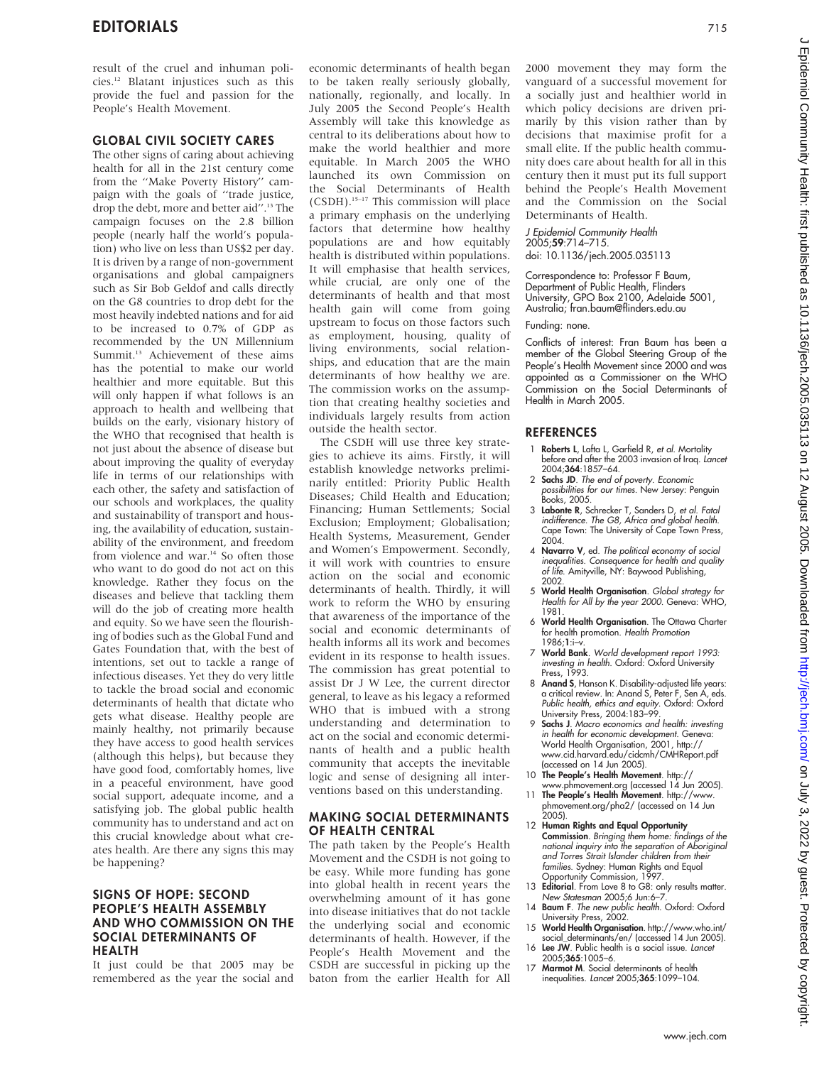result of the cruel and inhuman policies.12 Blatant injustices such as this provide the fuel and passion for the People's Health Movement.

### GLOBAL CIVIL SOCIETY CARES

The other signs of caring about achieving health for all in the 21st century come from the ''Make Poverty History'' campaign with the goals of ''trade justice, drop the debt, more and better aid''.13 The campaign focuses on the 2.8 billion people (nearly half the world's population) who live on less than US\$2 per day. It is driven by a range of non-government organisations and global campaigners such as Sir Bob Geldof and calls directly on the G8 countries to drop debt for the most heavily indebted nations and for aid to be increased to 0.7% of GDP as recommended by the UN Millennium Summit.<sup>13</sup> Achievement of these aims has the potential to make our world healthier and more equitable. But this will only happen if what follows is an approach to health and wellbeing that builds on the early, visionary history of the WHO that recognised that health is not just about the absence of disease but about improving the quality of everyday life in terms of our relationships with each other, the safety and satisfaction of our schools and workplaces, the quality and sustainability of transport and housing, the availability of education, sustainability of the environment, and freedom from violence and war.<sup>14</sup> So often those who want to do good do not act on this knowledge. Rather they focus on the diseases and believe that tackling them will do the job of creating more health and equity. So we have seen the flourishing of bodies such as the Global Fund and Gates Foundation that, with the best of intentions, set out to tackle a range of infectious diseases. Yet they do very little to tackle the broad social and economic determinants of health that dictate who gets what disease. Healthy people are mainly healthy, not primarily because they have access to good health services (although this helps), but because they have good food, comfortably homes, live in a peaceful environment, have good social support, adequate income, and a satisfying job. The global public health community has to understand and act on this crucial knowledge about what creates health. Are there any signs this may be happening?

### SIGNS OF HOPE: SECOND PEOPLE'S HEALTH ASSEMBLY AND WHO COMMISSION ON THE SOCIAL DETERMINANTS OF HEALTH

It just could be that 2005 may be remembered as the year the social and

economic determinants of health began to be taken really seriously globally, nationally, regionally, and locally. In July 2005 the Second People's Health Assembly will take this knowledge as central to its deliberations about how to make the world healthier and more equitable. In March 2005 the WHO launched its own Commission on the Social Determinants of Health (CSDH).15–17 This commission will place a primary emphasis on the underlying factors that determine how healthy populations are and how equitably health is distributed within populations. It will emphasise that health services, while crucial, are only one of the determinants of health and that most health gain will come from going upstream to focus on those factors such as employment, housing, quality of living environments, social relationships, and education that are the main determinants of how healthy we are. The commission works on the assumption that creating healthy societies and individuals largely results from action outside the health sector.

The CSDH will use three key strategies to achieve its aims. Firstly, it will establish knowledge networks preliminarily entitled: Priority Public Health Diseases; Child Health and Education; Financing; Human Settlements; Social Exclusion; Employment; Globalisation; Health Systems, Measurement, Gender and Women's Empowerment. Secondly, it will work with countries to ensure action on the social and economic determinants of health. Thirdly, it will work to reform the WHO by ensuring that awareness of the importance of the social and economic determinants of health informs all its work and becomes evident in its response to health issues. The commission has great potential to assist Dr J W Lee, the current director general, to leave as his legacy a reformed WHO that is imbued with a strong understanding and determination to act on the social and economic determinants of health and a public health community that accepts the inevitable logic and sense of designing all interventions based on this understanding.

### MAKING SOCIAL DETERMINANTS OF HEALTH CENTRAL

The path taken by the People's Health Movement and the CSDH is not going to be easy. While more funding has gone into global health in recent years the overwhelming amount of it has gone into disease initiatives that do not tackle the underlying social and economic determinants of health. However, if the People's Health Movement and the CSDH are successful in picking up the baton from the earlier Health for All

2000 movement they may form the vanguard of a successful movement for a socially just and healthier world in which policy decisions are driven primarily by this vision rather than by decisions that maximise profit for a small elite. If the public health community does care about health for all in this century then it must put its full support behind the People's Health Movement and the Commission on the Social Determinants of Health.

J Epidemiol Community Health 2005;59:714–715. doi: 10.1136/jech.2005.035113

Correspondence to: Professor F Baum, Department of Public Health, Flinders University, GPO Box 2100, Adelaide 5001, Australia; fran.baum@flinders.edu.au

#### Funding: none.

Conflicts of interest: Fran Baum has been a member of the Global Steering Group of the People's Health Movement since 2000 and was appointed as a Commissioner on the WHO Commission on the Social Determinants of Health in March 2005.

### **REFERENCES**

- 1 Roberts L, Lafta L, Garfield R, et al. Mortality before and after the 2003 invasion of Iraq. Lancet 2004;364:1857–64.
- 2 Sachs JD. The end of poverty. Economic possibilities for our times. New Jersey: Penguin Books, 2005.
- 3 Labonte R, Schrecker T, Sanders D, et al. Fatal indifference. The G8, Africa and global health. Cape Town: The University of Cape Town Press, 2004.
- 4 Navarro V, ed. The political economy of social inequalities. Consequence for health and quality of life. Amityville, NY: Baywood Publishing, 2002.
- 5 World Health Organisation. Global strategy for Health for All by the year 2000. Geneva: WHO, 1981.
- 6 World Health Organisation. The Ottawa Charter for health promotion. Health Promotion 1986;1:i–v.
- 7 World Bank. World development report 1993: investing in health. Oxford: Oxford University Press, 1993.
- 8 Anand S, Hanson K. Disability-adjusted life years: a critical review. In: Anand S, Peter F, Sen A, eds. Public health, ethics and equity. Oxford: Oxford University Press, 2004:183–99.
- 9 Sachs J. Macro economics and health: investing in health for economic development. Geneva: World Health Organisation, 2001, http:// www.cid.harvard.edu/cidcmh/CMHReport.pdf (accessed on 14 Jun 2005).
- 10 The People's Health Movement. http://
- www.phmovement.org (accessed 14 Jun 2005). 11 The People's Health Movement. http://www. phmovement.org/pha2/ (accessed on 14 Jun 2005).
- 12 Human Rights and Equal Opportunity Commission. Bringing them home: findings of the national inquiry into the separation of Aboriginal and Torres Strait Islander children from their families. Sydney: Human Rights and Equal Opportunity Commission, 1997.
- 13 Editorial. From Love 8 to G8: only results matter. New Statesman 2005;6 Jun:6-7
- 14 Baum F. The new public health. Oxford: Oxford University Press, 2002.
- 15 World Health Organisation. http://www.who.int/ social\_determinants/en/ (accessed 14 Jun 2005). Lee JW. Public health is a social issue. Lancet
- 2005;365:1005–6. 17 Marmot M. Social determinants of health
- inequalities. Lancet 2005;365:1099–104.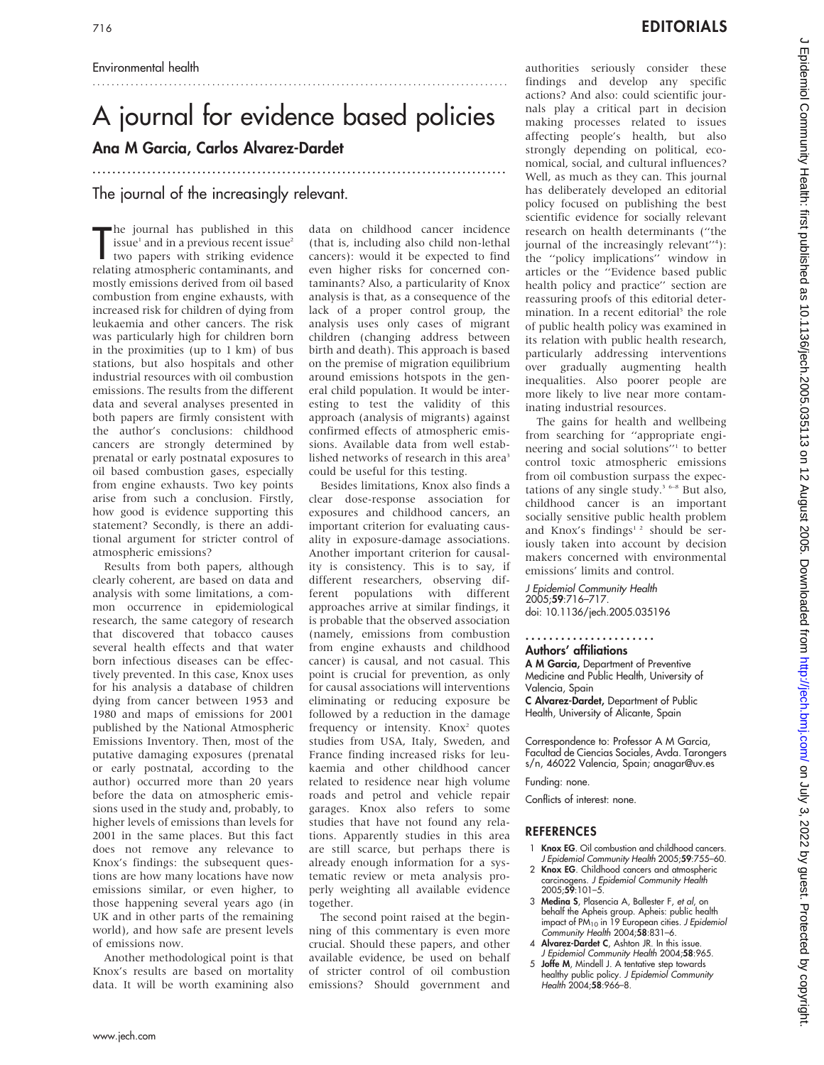## Environmental health

## A journal for evidence based policies Ana M Garcia, Carlos Alvarez-Dardet

.......................................................................................

## ...................................................................................

## The journal of the increasingly relevant.

The journal has published in this<br>
issue<sup>1</sup> and in a previous recent issue<sup>2</sup><br>
two papers with striking evidence<br>
relating atmospheric contaminants, and he journal has published in this issue<sup>1</sup> and in a previous recent issue<sup>2</sup> two papers with striking evidence mostly emissions derived from oil based combustion from engine exhausts, with increased risk for children of dying from leukaemia and other cancers. The risk was particularly high for children born in the proximities (up to 1 km) of bus stations, but also hospitals and other industrial resources with oil combustion emissions. The results from the different data and several analyses presented in both papers are firmly consistent with the author's conclusions: childhood cancers are strongly determined by prenatal or early postnatal exposures to oil based combustion gases, especially from engine exhausts. Two key points arise from such a conclusion. Firstly, how good is evidence supporting this statement? Secondly, is there an additional argument for stricter control of atmospheric emissions?

Results from both papers, although clearly coherent, are based on data and analysis with some limitations, a common occurrence in epidemiological research, the same category of research that discovered that tobacco causes several health effects and that water born infectious diseases can be effectively prevented. In this case, Knox uses for his analysis a database of children dying from cancer between 1953 and 1980 and maps of emissions for 2001 published by the National Atmospheric Emissions Inventory. Then, most of the putative damaging exposures (prenatal or early postnatal, according to the author) occurred more than 20 years before the data on atmospheric emissions used in the study and, probably, to higher levels of emissions than levels for 2001 in the same places. But this fact does not remove any relevance to Knox's findings: the subsequent questions are how many locations have now emissions similar, or even higher, to those happening several years ago (in UK and in other parts of the remaining world), and how safe are present levels of emissions now.

Another methodological point is that Knox's results are based on mortality data. It will be worth examining also data on childhood cancer incidence (that is, including also child non-lethal cancers): would it be expected to find even higher risks for concerned contaminants? Also, a particularity of Knox analysis is that, as a consequence of the lack of a proper control group, the analysis uses only cases of migrant children (changing address between birth and death). This approach is based on the premise of migration equilibrium around emissions hotspots in the general child population. It would be interesting to test the validity of this approach (analysis of migrants) against confirmed effects of atmospheric emissions. Available data from well established networks of research in this area<sup>3</sup> could be useful for this testing.

Besides limitations, Knox also finds a clear dose-response association for exposures and childhood cancers, an important criterion for evaluating causality in exposure-damage associations. Another important criterion for causality is consistency. This is to say, if different researchers, observing different populations with different approaches arrive at similar findings, it is probable that the observed association (namely, emissions from combustion from engine exhausts and childhood cancer) is causal, and not casual. This point is crucial for prevention, as only for causal associations will interventions eliminating or reducing exposure be followed by a reduction in the damage frequency or intensity. Knox<sup>2</sup> quotes studies from USA, Italy, Sweden, and France finding increased risks for leukaemia and other childhood cancer related to residence near high volume roads and petrol and vehicle repair garages. Knox also refers to some studies that have not found any relations. Apparently studies in this area are still scarce, but perhaps there is already enough information for a systematic review or meta analysis properly weighting all available evidence together.

The second point raised at the beginning of this commentary is even more crucial. Should these papers, and other available evidence, be used on behalf of stricter control of oil combustion emissions? Should government and

authorities seriously consider these findings and develop any specific actions? And also: could scientific journals play a critical part in decision making processes related to issues affecting people's health, but also strongly depending on political, economical, social, and cultural influences? Well, as much as they can. This journal has deliberately developed an editorial policy focused on publishing the best scientific evidence for socially relevant research on health determinants (''the journal of the increasingly relevant''4 ): the ''policy implications'' window in articles or the ''Evidence based public health policy and practice'' section are reassuring proofs of this editorial determination. In a recent editorial<sup>5</sup> the role of public health policy was examined in its relation with public health research, particularly addressing interventions over gradually augmenting health inequalities. Also poorer people are more likely to live near more contaminating industrial resources.

The gains for health and wellbeing from searching for ''appropriate engineering and social solutions''1 to better control toxic atmospheric emissions from oil combustion surpass the expectations of any single study. $3^{6-8}$  But also, childhood cancer is an important socially sensitive public health problem and Knox's findings<sup> $12$ </sup> should be seriously taken into account by decision makers concerned with environmental emissions' limits and control.

J Epidemiol Community Health 2005;59:716–717. doi: 10.1136/jech.2005.035196

### ......................

Authors' affiliations

A M Garcia, Department of Preventive Medicine and Public Health, University of Valencia, Spain

C Alvarez-Dardet, Department of Public Health, University of Alicante, Spain

Correspondence to: Professor A M Garcia, Facultad de Ciencias Sociales, Avda. Tarongers s/n, 46022 Valencia, Spain; anagar@uv.es

Funding: none.

Conflicts of interest: none.

### REFERENCES

- 1 Knox EG. Oil combustion and childhood cancers. J Epidemiol Community Health 2005;59:755–60.
- 2 Knox EG. Childhood cancers and atmospheric carcinogens. J Epidemiol Community Health  $2005:59:101-5$ .
- 3 Medina S, Plasencia A, Ballester F, et al, on behalf the Apheis group. Apheis: public health impact of  $PM_{10}$  in 19 European cities. J Epidemiol Community Health 2004;58:831–6.
- 4 Alvarez-Dardet C, Ashton JR. In this issue.
- J Epidemiol Community Health 2004;58:965. 5 Joffe M, Mindell J. A tentative step towards healthy public policy. J Epidemiol Community Health 2004;58:966–8.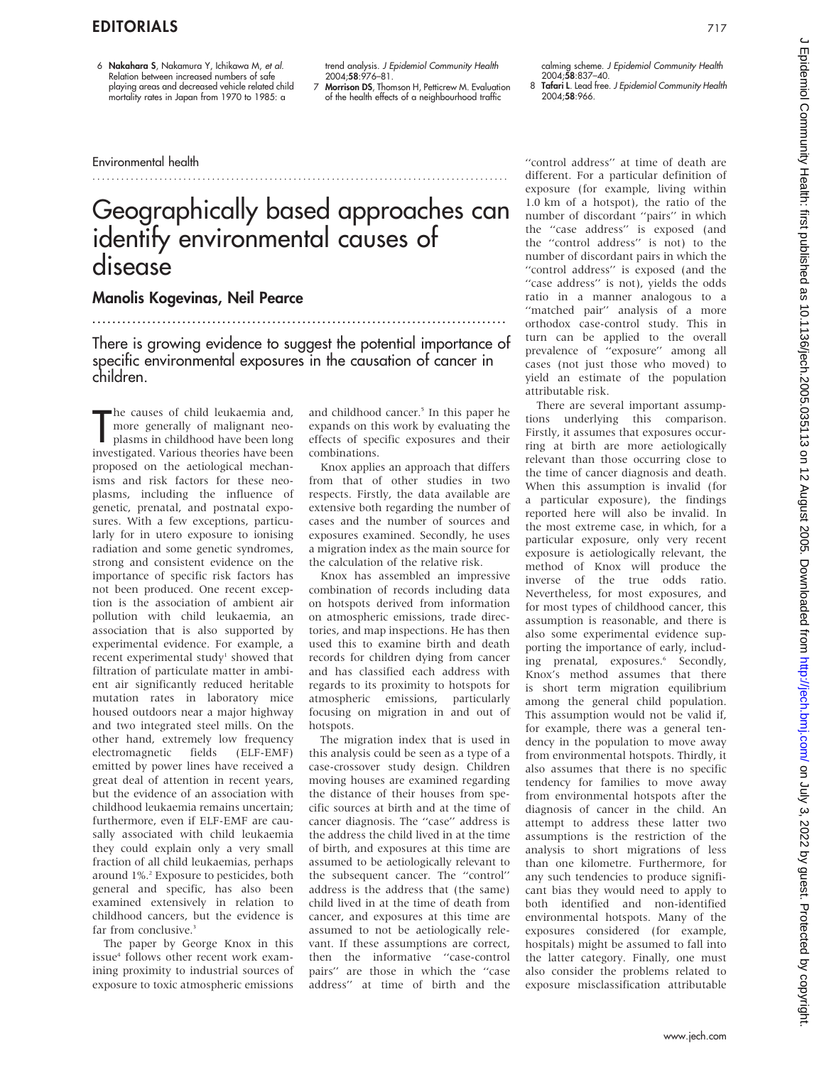## **EDITORIALS** 717

6 Nakahara S, Nakamura Y, Ichikawa M, et al. Relation between increased numbers of safe playing areas and decreased vehicle related child mortality rates in Japan from 1970 to 1985: a

trend analysis. J Epidemiol Community Health 2004;58:976–81.

7 Morrison DS, Thomson H, Petticrew M. Evaluation of the health effects of a neighbourhood traffic

calming scheme. *J Epidemiol Community Health*<br>2004;**58**:837–40.

8 Tafari L. Lead free. J Epidemiol Community Health 2004;58:966.

### Environmental health

# Geographically based approaches can identify environmental causes of disease

.......................................................................................

## Manolis Kogevinas, Neil Pearce

...................................................................................

There is growing evidence to suggest the potential importance of specific environmental exposures in the causation of cancer in children.

The causes of child leukaemia and,<br>
more generally of malignant neo-<br>
plasms in childhood have been long<br>
investigated. Various theories have been he causes of child leukaemia and, more generally of malignant neoplasms in childhood have been long proposed on the aetiological mechanisms and risk factors for these neoplasms, including the influence of genetic, prenatal, and postnatal exposures. With a few exceptions, particularly for in utero exposure to ionising radiation and some genetic syndromes, strong and consistent evidence on the importance of specific risk factors has not been produced. One recent exception is the association of ambient air pollution with child leukaemia, an association that is also supported by experimental evidence. For example, a recent experimental study<sup>1</sup> showed that filtration of particulate matter in ambient air significantly reduced heritable mutation rates in laboratory mice housed outdoors near a major highway and two integrated steel mills. On the other hand, extremely low frequency electromagnetic fields (ELF-EMF) emitted by power lines have received a great deal of attention in recent years, but the evidence of an association with childhood leukaemia remains uncertain; furthermore, even if ELF-EMF are causally associated with child leukaemia they could explain only a very small fraction of all child leukaemias, perhaps around 1%.2 Exposure to pesticides, both general and specific, has also been examined extensively in relation to childhood cancers, but the evidence is far from conclusive.<sup>3</sup>

The paper by George Knox in this issue<sup>4</sup> follows other recent work examining proximity to industrial sources of exposure to toxic atmospheric emissions and childhood cancer.<sup>5</sup> In this paper he expands on this work by evaluating the effects of specific exposures and their combinations.

Knox applies an approach that differs from that of other studies in two respects. Firstly, the data available are extensive both regarding the number of cases and the number of sources and exposures examined. Secondly, he uses a migration index as the main source for the calculation of the relative risk.

Knox has assembled an impressive combination of records including data on hotspots derived from information on atmospheric emissions, trade directories, and map inspections. He has then used this to examine birth and death records for children dying from cancer and has classified each address with regards to its proximity to hotspots for atmospheric emissions, particularly focusing on migration in and out of hotspots.

The migration index that is used in this analysis could be seen as a type of a case-crossover study design. Children moving houses are examined regarding the distance of their houses from specific sources at birth and at the time of cancer diagnosis. The ''case'' address is the address the child lived in at the time of birth, and exposures at this time are assumed to be aetiologically relevant to the subsequent cancer. The ''control'' address is the address that (the same) child lived in at the time of death from cancer, and exposures at this time are assumed to not be aetiologically relevant. If these assumptions are correct, then the informative ''case-control pairs'' are those in which the ''case address'' at time of birth and the

''control address'' at time of death are different. For a particular definition of exposure (for example, living within 1.0 km of a hotspot), the ratio of the number of discordant ''pairs'' in which the ''case address'' is exposed (and the ''control address'' is not) to the number of discordant pairs in which the "control address" is exposed (and the "case address" is not), yields the odds ratio in a manner analogous to a "matched pair" analysis of a more orthodox case-control study. This in turn can be applied to the overall prevalence of ''exposure'' among all cases (not just those who moved) to yield an estimate of the population attributable risk.

There are several important assumptions underlying this comparison. Firstly, it assumes that exposures occurring at birth are more aetiologically relevant than those occurring close to the time of cancer diagnosis and death. When this assumption is invalid (for a particular exposure), the findings reported here will also be invalid. In the most extreme case, in which, for a particular exposure, only very recent exposure is aetiologically relevant, the method of Knox will produce the inverse of the true odds ratio. Nevertheless, for most exposures, and for most types of childhood cancer, this assumption is reasonable, and there is also some experimental evidence supporting the importance of early, including prenatal, exposures.<sup>6</sup> Secondly, Knox's method assumes that there is short term migration equilibrium among the general child population. This assumption would not be valid if, for example, there was a general tendency in the population to move away from environmental hotspots. Thirdly, it also assumes that there is no specific tendency for families to move away from environmental hotspots after the diagnosis of cancer in the child. An attempt to address these latter two assumptions is the restriction of the analysis to short migrations of less than one kilometre. Furthermore, for any such tendencies to produce significant bias they would need to apply to both identified and non-identified environmental hotspots. Many of the exposures considered (for example, hospitals) might be assumed to fall into the latter category. Finally, one must also consider the problems related to exposure misclassification attributable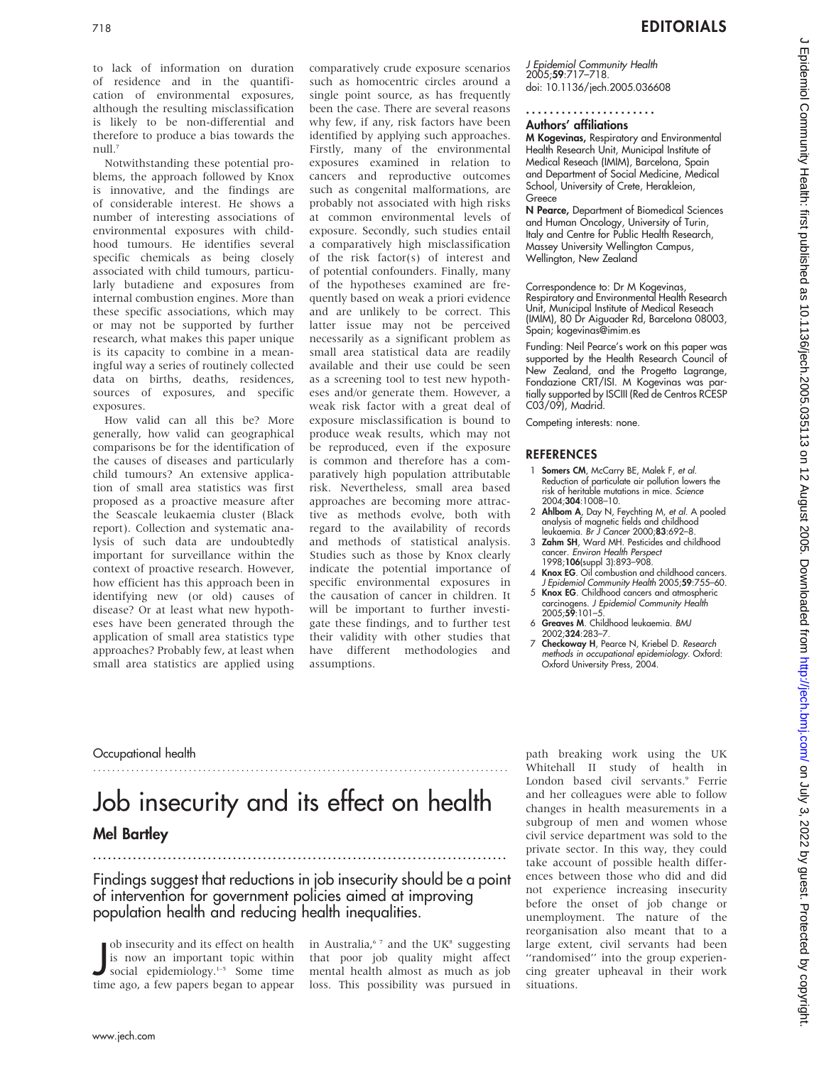to lack of information on duration of residence and in the quantification of environmental exposures, although the resulting misclassification is likely to be non-differential and therefore to produce a bias towards the null.7

Notwithstanding these potential problems, the approach followed by Knox is innovative, and the findings are of considerable interest. He shows a number of interesting associations of environmental exposures with childhood tumours. He identifies several specific chemicals as being closely associated with child tumours, particularly butadiene and exposures from internal combustion engines. More than these specific associations, which may or may not be supported by further research, what makes this paper unique is its capacity to combine in a meaningful way a series of routinely collected data on births, deaths, residences, sources of exposures, and specific exposures.

How valid can all this be? More generally, how valid can geographical comparisons be for the identification of the causes of diseases and particularly child tumours? An extensive application of small area statistics was first proposed as a proactive measure after the Seascale leukaemia cluster (Black report). Collection and systematic analysis of such data are undoubtedly important for surveillance within the context of proactive research. However, how efficient has this approach been in identifying new (or old) causes of disease? Or at least what new hypotheses have been generated through the application of small area statistics type approaches? Probably few, at least when small area statistics are applied using

comparatively crude exposure scenarios such as homocentric circles around a single point source, as has frequently been the case. There are several reasons why few, if any, risk factors have been identified by applying such approaches. Firstly, many of the environmental exposures examined in relation to cancers and reproductive outcomes such as congenital malformations, are probably not associated with high risks at common environmental levels of exposure. Secondly, such studies entail a comparatively high misclassification of the risk factor(s) of interest and of potential confounders. Finally, many of the hypotheses examined are frequently based on weak a priori evidence and are unlikely to be correct. This latter issue may not be perceived necessarily as a significant problem as small area statistical data are readily available and their use could be seen as a screening tool to test new hypotheses and/or generate them. However, a weak risk factor with a great deal of exposure misclassification is bound to produce weak results, which may not be reproduced, even if the exposure is common and therefore has a comparatively high population attributable risk. Nevertheless, small area based approaches are becoming more attractive as methods evolve, both with regard to the availability of records and methods of statistical analysis. Studies such as those by Knox clearly indicate the potential importance of specific environmental exposures in the causation of cancer in children. It will be important to further investigate these findings, and to further test their validity with other studies that have different methodologies and assumptions.

J Epidemiol Community Health<br>2005;**59**:717–718. doi: 10.1136/jech.2005.036608

......................

## Authors' affiliations

M Kogevinas, Respiratory and Environmental Health Research Unit, Municipal Institute of Medical Reseach (IMIM), Barcelona, Spain and Department of Social Medicine, Medical School, University of Crete, Herakleion, Greece

N Pearce, Department of Biomedical Sciences and Human Oncology, University of Turin, Italy and Centre for Public Health Research, Massey University Wellington Campus, Wellington, New Zealand

Correspondence to: Dr M Kogevinas, Respiratory and Environmental Health Research Unit, Municipal Institute of Medical Reseach (IMIM), 80 Dr Aiguader Rd, Barcelona 08003, Spain; kogevinas@imim.es

Funding: Neil Pearce's work on this paper was supported by the Health Research Council of New Zealand, and the Progetto Lagrange, Fondazione CRT/ISI. M Kogevinas was partially supported by ISCIII (Red de Centros RCESP C03/09), Madrid.

Competing interests: none.

#### REFERENCES

- 1 Somers CM, McCarry BE, Malek F, et al. Reduction of particulate air pollution lowers the risk of heritable mutations in mice. Science 2004;304:1008–10.
- 2 Ahlbom A, Day N, Feychting M, *et al.* A pooled<br>analysis of magnetic fields and childhood<br>leukaemia. *Br J Cancer* 2000;**83**:692–8.
- 3 Zahm SH, Ward MH. Pesticides and childhood cancer. Environ Health Perspect
- 1998;106(suppl 3):893–908. 4 Knox EG. Oil combustion and childhood cancers. J Epidemiol Community Health 2005;59:755-60.
- 5 Knox EG. Childhood cancers and atmospheric carcinogens. *J Epidemiol Community Health*<br>2005;**59**:101–5.
- 6 Greaves M. Childhood leukaemia. BMJ 2002;324:283–7.
- 7 Checkoway H, Pearce N, Kriebel D. Research methods in occupational epidemiology. Oxford: Oxford University Press, 2004.

## Occupational health

## Job insecurity and its effect on health Mel Bartley

.......................................................................................

## Findings suggest that reductions in job insecurity should be a point of intervention for government policies aimed at improving population health and reducing health inequalities.

...................................................................................

Job insecurity and its effect on health<br>is now an important topic within<br>social epidemiology.<sup>1-5</sup> Some time<br>time ago, a few papers began to appear ob insecurity and its effect on health is now an important topic within social epidemiology.<sup>1-5</sup> Some time

in Australia, $67$  and the UK $8$  suggesting that poor job quality might affect mental health almost as much as job loss. This possibility was pursued in path breaking work using the UK Whitehall II study of health in London based civil servants.<sup>9</sup> Ferrie and her colleagues were able to follow changes in health measurements in a subgroup of men and women whose civil service department was sold to the private sector. In this way, they could take account of possible health differences between those who did and did not experience increasing insecurity before the onset of job change or unemployment. The nature of the reorganisation also meant that to a large extent, civil servants had been ''randomised'' into the group experiencing greater upheaval in their work situations.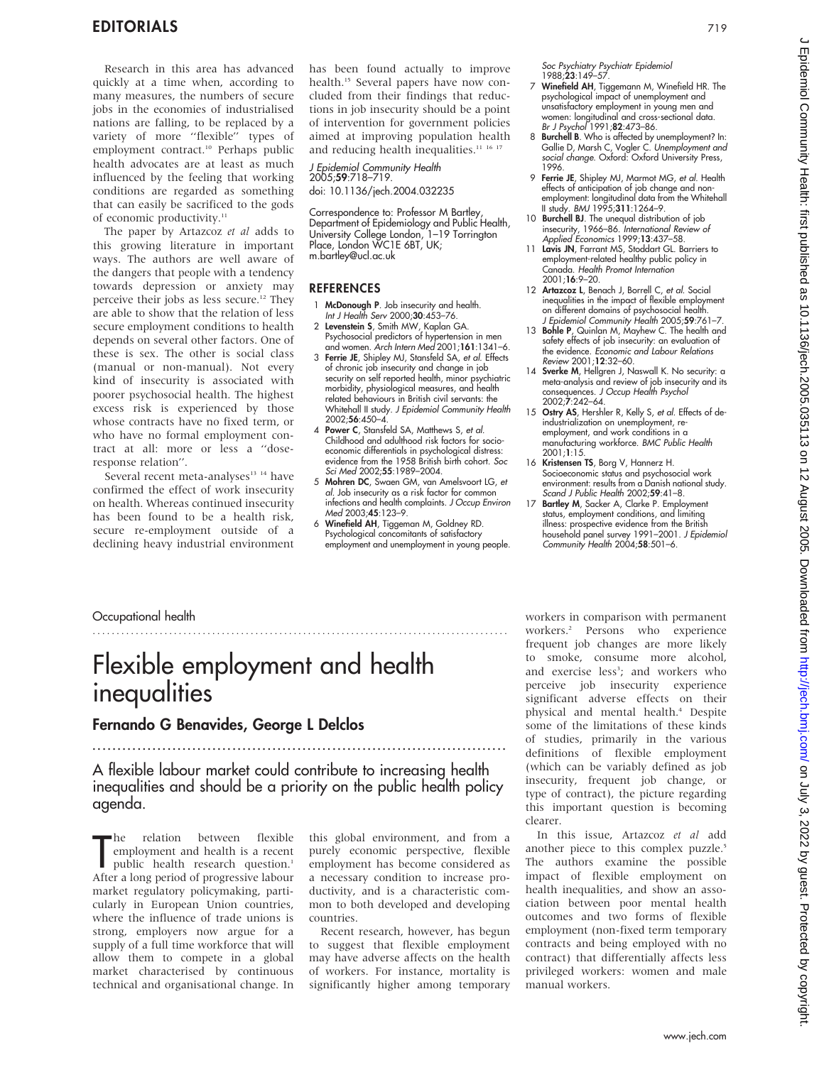Research in this area has advanced quickly at a time when, according to many measures, the numbers of secure jobs in the economies of industrialised nations are falling, to be replaced by a variety of more ''flexible'' types of employment contract.10 Perhaps public health advocates are at least as much influenced by the feeling that working conditions are regarded as something that can easily be sacrificed to the gods of economic productivity.<sup>11</sup>

The paper by Artazcoz et al adds to this growing literature in important ways. The authors are well aware of the dangers that people with a tendency towards depression or anxiety may perceive their jobs as less secure.<sup>12</sup> They are able to show that the relation of less secure employment conditions to health depends on several other factors. One of these is sex. The other is social class (manual or non-manual). Not every kind of insecurity is associated with poorer psychosocial health. The highest excess risk is experienced by those whose contracts have no fixed term, or who have no formal employment contract at all: more or less a ''doseresponse relation''.

Several recent meta-analyses $13/14$  have confirmed the effect of work insecurity on health. Whereas continued insecurity has been found to be a health risk, secure re-employment outside of a declining heavy industrial environment has been found actually to improve health.<sup>15</sup> Several papers have now concluded from their findings that reductions in job insecurity should be a point of intervention for government policies aimed at improving population health and reducing health inequalities.<sup>11 16 17</sup>

J Epidemiol Community Health 2005;59:718–719. doi: 10.1136/jech.2004.032235

Correspondence to: Professor M Bartley, Department of Epidemiology and Public Health, University College London, 1–19 Torrington Place, London WC1E 6BT, UK; m.bartley@ucl.ac.uk

### **REFERENCES**

- 1 **McDonough P**. Job insecurity and health. Int J Health Serv 2000;30:453–76.
- 2 Levenstein S, Smith MW, Kaplan GA. Psychosocial predictors of hypertension in men and women. Arch Intern Med 2001;161:1341–6.
- 3 Ferrie JE, Shipley MJ, Stansfeld SA, et al. Effects of chronic job insecurity and change in job security on self reported health, minor psychiatric morbidity, physiological measures, and health related behaviours in British civil servants: the<br>Whitehall II study. *J Epidemiol Community Health* 2002;56:450–4.
- 4 Power C, Stansfeld SA, Matthews S, et al. Childhood and adulthood risk factors for socioeconomic differentials in psychological distress: evidence from the 1958 British birth cohort. Soc Sci Med 2002;55:1989-2004.
- 5 Mohren DC, Swaen GM, van Amelsvoort LG, et al. Job insecurity as a risk factor for common infections and health complaints. J Occup Environ Med 2003;45:123–9.
- 6 Winefield AH, Tiggeman M, Goldney RD. Psychological concomitants of satisfactory employment and unemployment in young people.

.......................................................................................

Soc Psychiatry Psychiatr Epidemiol<br>1988;**23**:149–57.

- 7 Winefield AH, Tiggemann M, Winefield HR. The psychological impact of unemployment and unsatisfactory employment in young men and women: longitudinal and cross-sectional data. Br J Psychol 1991;82:473–86.
- 8 **Burchell B**. Who is affected by unemployment? In:<br>Gallie D, Marsh C, Vogler C. Un*employment and* social change. Oxford: Oxford University Press, 1996.
- 9 Ferrie JE, Shipley MJ, Marmot MG, et al. Health effects of anticipation of job change and nonemployment: longitudinal data from the Whitehall Il study. BMJ 1995;311:1264-9.
- 10 Burchell BJ. The unequal distribution of job insecurity, 1966–86. International Review of Applied Economics 1999;13:437–58.
- 11 Lavis JN, Farrant MS, Stoddart GL. Barriers to employment-related healthy public policy in Canada. Health Promot Internation 2001;16:9–20.
- 12 Artazcoz L, Benach J, Borrell C, et al. Social inequalities in the impact of flexible employment on different domains of psychosocial health. J Epidemiol Community Health 2005;59:761–7.
- 13 Bohle P, Quinlan M, Mayhew C. The health and safety effects of job insecurity: an evaluation of the evidence. Economic and Labour Relations Review 2001;12:32–60.
- 14 Sverke M, Hellgren J, Naswall K. No security: a meta-analysis and review of job insecurity and its consequences. J Occup Health Psychol 2002;7:242–64.
- 15 Ostry AS, Hershler R, Kelly S, et al. Effects of deindustrialization on unemployment, reemployment, and work conditions in a manufacturing workforce. BMC Public Health 2001;1:15.
- 16 Kristensen TS, Borg V, Hannerz H. Socioeconomic status and psychosocial work environment: results from a Danish national study. Scand J Public Health 2002;59:41–8.
- 17 Bartley M, Sacker A, Clarke P. Employment status, employment conditions, and limiting illness: prospective evidence from the British household panel survey 1991–2001. *J Epidemiol*<br>Community Health 2004;**58**:501–6.

## Occupational health

# Flexible employment and health inequalities

## Fernando G Benavides, George L Delclos

A flexible labour market could contribute to increasing health inequalities and should be a priority on the public health policy agenda.

The relation between itexible<br>
employment and health is a recent<br>
public health research question.<sup>1</sup> he relation between flexible employment and health is a recent After a long period of progressive labour market regulatory policymaking, particularly in European Union countries, where the influence of trade unions is strong, employers now argue for a supply of a full time workforce that will allow them to compete in a global market characterised by continuous technical and organisational change. In

this global environment, and from a purely economic perspective, flexible employment has become considered as a necessary condition to increase productivity, and is a characteristic common to both developed and developing countries.

...................................................................................

Recent research, however, has begun to suggest that flexible employment may have adverse affects on the health of workers. For instance, mortality is significantly higher among temporary workers in comparison with permanent workers.2 Persons who experience frequent job changes are more likely to smoke, consume more alcohol, and exercise less<sup>3</sup>; and workers who perceive job insecurity experience significant adverse effects on their physical and mental health.4 Despite some of the limitations of these kinds of studies, primarily in the various definitions of flexible employment (which can be variably defined as job insecurity, frequent job change, or type of contract), the picture regarding this important question is becoming clearer.

In this issue, Artazcoz et al add another piece to this complex puzzle.<sup>5</sup> The authors examine the possible impact of flexible employment on health inequalities, and show an association between poor mental health outcomes and two forms of flexible employment (non-fixed term temporary contracts and being employed with no contract) that differentially affects less privileged workers: women and male manual workers.